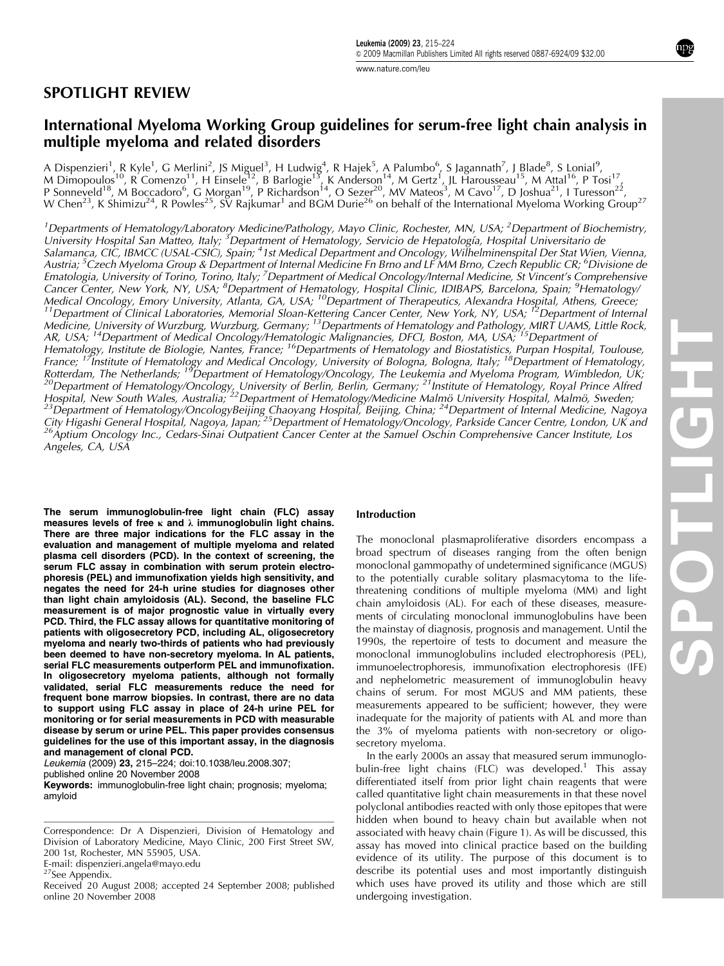# SPOTLIGHT REVIEW

# International Myeloma Working Group guidelines for serum-free light chain analysis in multiple myeloma and related disorders

A Dispenzieri<sup>1</sup>, R Kyle<sup>1</sup>, G Merlini<sup>2</sup>, JS Miguel<sup>3</sup>, H Ludwig<sup>4</sup>, R Hajek<sup>5</sup>, A Palumbo<sup>6</sup>, S Jagannath<sup>7</sup>, J Blade<sup>8</sup>, S Lonial<sup>9</sup>, M (Dinial<sup>9</sup>, P Tosi<sup>17</sup>, B Barlogie<sup>13</sup>, B Barlogie<sup>13</sup>, K Anderson<sup>14</sup>, M Gertz<sup>1</sup>, P Sonneveld<sup>18</sup>, M Boccadoro<sup>6</sup>, G Morgan<sup>19</sup>, P Richardson<sup>14</sup>, O Sezer<sup>20</sup>, MV Mateos<sup>3</sup>, M Cavo<sup>17</sup>, D Joshua<sup>21</sup>, I Turesson<sup>22</sup>, W Chen<sup>23</sup>, K Shimizu<sup>24</sup>, R Powles<sup>25</sup>, SV Rajkumar<sup>1</sup> and BGM Durie<sup>26</sup> on behalf of the International Myeloma Working Group<sup>27</sup>

<sup>1</sup>Departments of Hematology/Laboratory Medicine/Pathology, Mayo Clinic, Rochester, MN, USA; <sup>2</sup>Department of Biochemistry, University Hospital San Matteo, Italy; <sup>3'</sup>Department of Hematology, Servicio de Hepatología, Hospital Universitario de Salamanca, CIC, IBMCC (USAL-CSIC), Spain; <sup>4</sup>1st Medical Department and Oncology, Wilhelminenspital Der Stat Wien, Vienna, Austria; <sup>5</sup>Czech Myeloma Group & Department of Internal Medicine Fn Brno and LFMM Brno, Czech Republic CR; <sup>6</sup>Divisione de Ematologia, University of Torino, Torino, Italy; <sup>7</sup>Department of Medical Oncology/Internal Medicine, St Vincent's Comprehensive Cancer Center, New York, NY, USA; <sup>8</sup>Department of Hematology, Hospital Clinic, IDIBAPS, Barcelona, Spain; <sup>9</sup>Hematology/ Medical Oncology, Emory University, Atlanta, GA, USA; <sup>10</sup>Department of Therapeutics, Alexandra Hospital, Athens, Greece;<br><sup>11</sup>Department of Clinical Laboratories, Memorial Sloan-Kettering Cancer Center, New York, NY, USA; Medicine, University of Wurzburg, Wurzburg, Germany; <sup>13</sup>Departments of Hematology and Pathology, MIRT UAMS, Little Rock, AR, USA; <sup>14</sup>Department of Medical Oncology/Hematologic Malignancies, DFCI, Boston, MA, USA; <sup>15</sup>Department of Hematology, Institute de Biologie, Nantes, France; <sup>16</sup>Departments of Hematology and Biostatistics, Purpan Hospital, Toulouse, France; <sup>17</sup>Institute of Hematology and Medical Oncology, University of Bologna, Bologna, Italy; <sup>18</sup>Department of Hematology, Rotterdam, The Netherlands; <sup>19</sup>Department of Hematology/Oncology, The Leukemia and Myeloma Program, Wimbledon, UK;<br><sup>20</sup>Department of Hematology/Oncology, University of Berlin, Berlin, Germany; <sup>21</sup>Institute of Hematology, Hospital, New South Wales, Australia; <sup>22</sup>Department of Hematology/Medicine Malmö University Hospital, Malmö, Sweden;<br><sup>23</sup>Department of Hematology/OncologyBeijing Chaoyang Hospital, Beijing, China; <sup>24</sup>Department of Intern City Higashi General Hospital, Nagoya, Japan; <sup>25</sup>Department of Hematology/Oncology, Parkside Cancer Centre, London, UK and<br><sup>26</sup>Aptium Oncology Inc., Cedars-Sinai Outpatient Cancer Center at the Samuel Oschin Comprehensive Angeles, CA, USA

The serum immunoglobulin-free light chain (FLC) assay measures levels of free  $\kappa$  and  $\lambda$  immunoglobulin light chains. There are three major indications for the FLC assay in the evaluation and management of multiple myeloma and related plasma cell disorders (PCD). In the context of screening, the serum FLC assay in combination with serum protein electrophoresis (PEL) and immunofixation yields high sensitivity, and negates the need for 24-h urine studies for diagnoses other than light chain amyloidosis (AL). Second, the baseline FLC measurement is of major prognostic value in virtually every PCD. Third, the FLC assay allows for quantitative monitoring of patients with oligosecretory PCD, including AL, oligosecretory myeloma and nearly two-thirds of patients who had previously been deemed to have non-secretory myeloma. In AL patients, serial FLC measurements outperform PEL and immunofixation. In oligosecretory myeloma patients, although not formally validated, serial FLC measurements reduce the need for frequent bone marrow biopsies. In contrast, there are no data to support using FLC assay in place of 24-h urine PEL for monitoring or for serial measurements in PCD with measurable disease by serum or urine PEL. This paper provides consensus guidelines for the use of this important assay, in the diagnosis and management of clonal PCD.

Leukemia (2009) 23, 215–224; doi[:10.1038/leu.2008.307;](http://dx.doi.org/10.1038/leu.2008.307)

published online 20 November 2008

Keywords: immunoglobulin-free light chain; prognosis; myeloma; amyloid

Correspondence: Dr A Dispenzieri, Division of Hematology and Division of Laboratory Medicine, Mayo Clinic, 200 First Street SW, 200 1st, Rochester, MN 55905, USA.

E-mail: [dispenzieri.angela@mayo.edu](mailto:dispenzieri.angela@mayo.edu)<br><sup>27</sup>See Appendix.

# Introduction

The monoclonal plasmaproliferative disorders encompass a broad spectrum of diseases ranging from the often benign monoclonal gammopathy of undetermined significance (MGUS) to the potentially curable solitary plasmacytoma to the lifethreatening conditions of multiple myeloma (MM) and light chain amyloidosis (AL). For each of these diseases, measurements of circulating monoclonal immunoglobulins have been the mainstay of diagnosis, prognosis and management. Until the 1990s, the repertoire of tests to document and measure the monoclonal immunoglobulins included electrophoresis (PEL), immunoelectrophoresis, immunofixation electrophoresis (IFE) and nephelometric measurement of immunoglobulin heavy chains of serum. For most MGUS and MM patients, these measurements appeared to be sufficient; however, they were inadequate for the majority of patients with AL and more than the 3% of myeloma patients with non-secretory or oligosecretory myeloma.

In the early 2000s an assay that measured serum immunoglo-bulin-free light chains (FLC) was developed.<sup>[1](#page-7-0)</sup> This assay differentiated itself from prior light chain reagents that were called quantitative light chain measurements in that these novel polyclonal antibodies reacted with only those epitopes that were hidden when bound to heavy chain but available when not associated with heavy chain [\(Figure 1\)](#page-1-0). As will be discussed, this assay has moved into clinical practice based on the building evidence of its utility. The purpose of this document is to describe its potential uses and most importantly distinguish which uses have proved its utility and those which are still undergoing investigation.

Received 20 August 2008; accepted 24 September 2008; published online 20 November 2008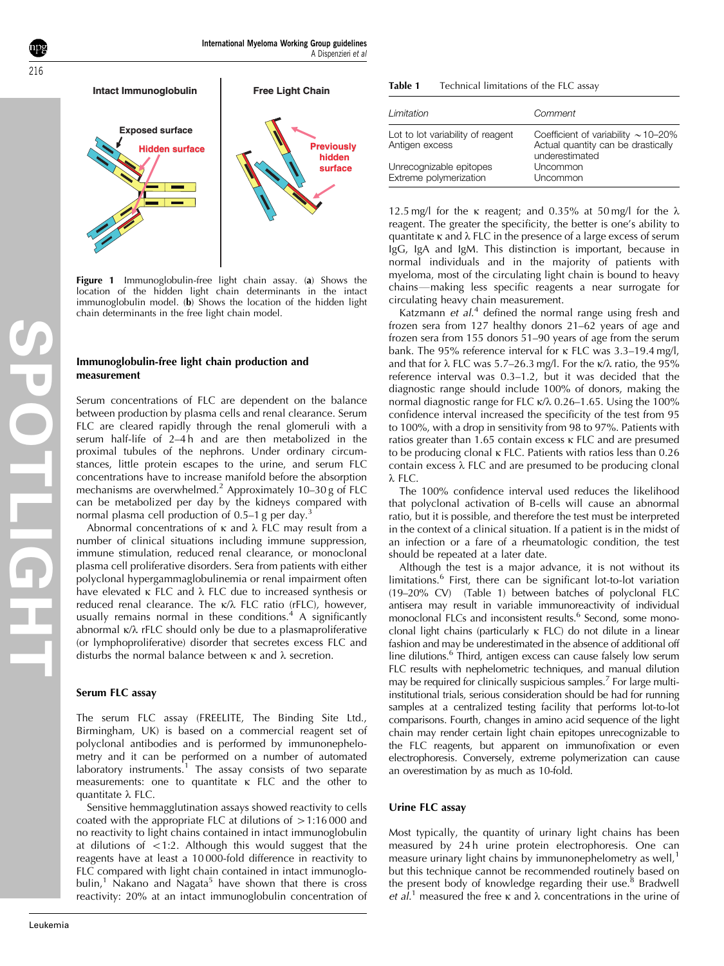<span id="page-1-0"></span>

Figure 1 Immunoglobulin-free light chain assay. (a) Shows the location of the hidden light chain determinants in the intact immunoglobulin model. (b) Shows the location of the hidden light chain determinants in the free light chain model.

### Immunoglobulin-free light chain production and measurement

Serum concentrations of FLC are dependent on the balance between production by plasma cells and renal clearance. Serum FLC are cleared rapidly through the renal glomeruli with a serum half-life of 2–4 h and are then metabolized in the proximal tubules of the nephrons. Under ordinary circumstances, little protein escapes to the urine, and serum FLC concentrations have to increase manifold before the absorption mechanisms are overwhelmed.<sup>[2](#page-7-0)</sup> Approximately 10–30 g of FLC can be metabolized per day by the kidneys compared with normal plasma cell production of  $0.5-1$  g per day.<sup>[3](#page-7-0)</sup>

Abnormal concentrations of  $\kappa$  and  $\lambda$  FLC may result from a number of clinical situations including immune suppression, immune stimulation, reduced renal clearance, or monoclonal plasma cell proliferative disorders. Sera from patients with either polyclonal hypergammaglobulinemia or renal impairment often have elevated  $\kappa$  FLC and  $\lambda$  FLC due to increased synthesis or reduced renal clearance. The  $\kappa/\lambda$  FLC ratio (rFLC), however, usually remains normal in these conditions.<sup>[4](#page-7-0)</sup> A significantly abnormal  $\kappa/\lambda$  rFLC should only be due to a plasmaproliferative (or lymphoproliferative) disorder that secretes excess FLC and disturbs the normal balance between  $\kappa$  and  $\lambda$  secretion.

### Serum FLC assay

The serum FLC assay (FREELITE, The Binding Site Ltd., Birmingham, UK) is based on a commercial reagent set of polyclonal antibodies and is performed by immunonephelometry and it can be performed on a number of automated laboratory instruments.<sup>[1](#page-7-0)</sup> The assay consists of two separate measurements: one to quantitate  $\kappa$  FLC and the other to quantitate  $\lambda$  FLC.

Sensitive hemmagglutination assays showed reactivity to cells coated with the appropriate FLC at dilutions of  $>1:16000$  and no reactivity to light chains contained in intact immunoglobulin at dilutions of  $\langle 1:2. \rangle$  Although this would suggest that the reagents have at least a 10 000-fold difference in reactivity to FLC compared with light chain contained in intact immunoglo-bulin,<sup>[1](#page-7-0)</sup> Nakano and Nagata<sup>[5](#page-7-0)</sup> have shown that there is cross reactivity: 20% at an intact immunoglobulin concentration of

| Limitation                                          | Comment                                                                                          |
|-----------------------------------------------------|--------------------------------------------------------------------------------------------------|
| Lot to lot variability of reagent<br>Antigen excess | Coefficient of variability $\sim$ 10–20%<br>Actual quantity can be drastically<br>underestimated |
| Unrecognizable epitopes<br>Extreme polymerization   | Uncommon<br>Uncommon                                                                             |

12.5 mg/l for the  $\kappa$  reagent; and 0.35% at 50 mg/l for the  $\lambda$ reagent. The greater the specificity, the better is one's ability to quantitate  $\kappa$  and  $\lambda$  FLC in the presence of a large excess of serum IgG, IgA and IgM. This distinction is important, because in normal individuals and in the majority of patients with myeloma, most of the circulating light chain is bound to heavy chains—making less specific reagents a near surrogate for circulating heavy chain measurement.

Katzmann et  $aL^4$  $aL^4$  defined the normal range using fresh and frozen sera from 127 healthy donors 21–62 years of age and frozen sera from 155 donors 51–90 years of age from the serum bank. The 95% reference interval for  $\kappa$  FLC was 3.3–19.4 mg/l, and that for  $\lambda$  FLC was 5.7–26.3 mg/l. For the  $\kappa/\lambda$  ratio, the 95% reference interval was 0.3–1.2, but it was decided that the diagnostic range should include 100% of donors, making the normal diagnostic range for FLC  $\kappa/\lambda$  0.26–1.65. Using the 100% confidence interval increased the specificity of the test from 95 to 100%, with a drop in sensitivity from 98 to 97%. Patients with ratios greater than 1.65 contain excess  $\kappa$  FLC and are presumed to be producing clonal  $\kappa$  FLC. Patients with ratios less than 0.26 contain excess  $\lambda$  FLC and are presumed to be producing clonal  $\lambda$  FLC.

The 100% confidence interval used reduces the likelihood that polyclonal activation of B-cells will cause an abnormal ratio, but it is possible, and therefore the test must be interpreted in the context of a clinical situation. If a patient is in the midst of an infection or a fare of a rheumatologic condition, the test should be repeated at a later date.

Although the test is a major advance, it is not without its limitations.<sup>[6](#page-7-0)</sup> First, there can be significant lot-to-lot variation (19–20% CV) (Table 1) between batches of polyclonal FLC antisera may result in variable immunoreactivity of individual monoclonal FLCs and inconsistent results.<sup>6</sup> Second, some monoclonal light chains (particularly k FLC) do not dilute in a linear fashion and may be underestimated in the absence of additional off line dilutions.<sup>6</sup> Third, antigen excess can cause falsely low serum FLC results with nephelometric techniques, and manual dilution may be required for clinically suspicious samples.<sup>7</sup> For large multiinstitutional trials, serious consideration should be had for running samples at a centralized testing facility that performs lot-to-lot comparisons. Fourth, changes in amino acid sequence of the light chain may render certain light chain epitopes unrecognizable to the FLC reagents, but apparent on immunofixation or even electrophoresis. Conversely, extreme polymerization can cause an overestimation by as much as 10-fold.

### Urine FLC assay

Most typically, the quantity of urinary light chains has been measured by 24h urine protein electrophoresis. One can measure urinary light chains by immunonephelometry as well, $<sup>1</sup>$  $<sup>1</sup>$  $<sup>1</sup>$ </sup> but this technique cannot be recommended routinely based on the present body of knowledge regarding their use. $8$  Bradwell et al.<sup>[1](#page-7-0)</sup> measured the free  $\kappa$  and  $\lambda$  concentrations in the urine of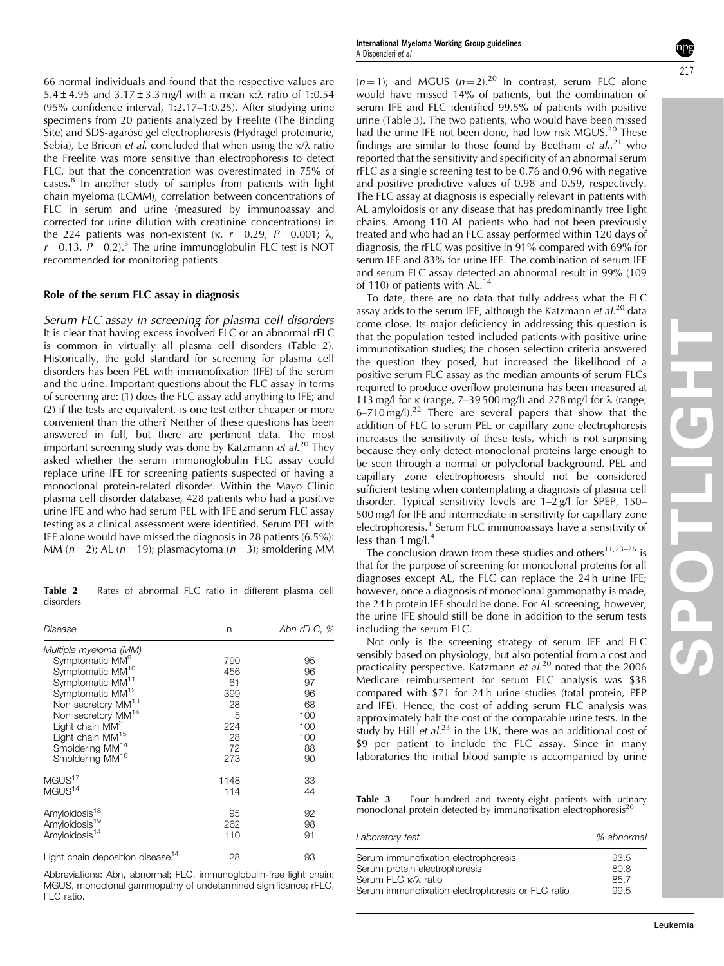66 normal individuals and found that the respective values are 5.4  $\pm$  4.95 and 3.17  $\pm$  3.3 mg/l with a mean  $\kappa$ : $\lambda$  ratio of 1:0.54 (95% confidence interval, 1:2.17–1:0.25). After studying urine specimens from 20 patients analyzed by Freelite (The Binding Site) and SDS-agarose gel electrophoresis (Hydragel proteinurie, Sebia), Le Bricon et al. concluded that when using the  $\kappa/\lambda$  ratio the Freelite was more sensitive than electrophoresis to detect FLC, but that the concentration was overestimated in 75% of cases[.8](#page-7-0) In another study of samples from patients with light chain myeloma (LCMM), correlation between concentrations of FLC in serum and urine (measured by immunoassay and corrected for urine dilution with creatinine concentrations) in the 224 patients was non-existent ( $\kappa$ ,  $r = 0.29$ ,  $P = 0.001$ ;  $\lambda$ ,  $r = 0.13$ ,  $P = 0.2$ ).<sup>3</sup> The urine immunoglobulin FLC test is NOT recommended for monitoring patients.

### Role of the serum FLC assay in diagnosis

Serum FLC assay in screening for plasma cell disorders It is clear that having excess involved FLC or an abnormal rFLC is common in virtually all plasma cell disorders (Table 2). Historically, the gold standard for screening for plasma cell disorders has been PEL with immunofixation (IFE) of the serum and the urine. Important questions about the FLC assay in terms of screening are: (1) does the FLC assay add anything to IFE; and (2) if the tests are equivalent, is one test either cheaper or more convenient than the other? Neither of these questions has been answered in full, but there are pertinent data. The most important screening study was done by Katzmann et al.<sup>[20](#page-8-0)</sup> They asked whether the serum immunoglobulin FLC assay could replace urine IFE for screening patients suspected of having a monoclonal protein-related disorder. Within the Mayo Clinic plasma cell disorder database, 428 patients who had a positive urine IFE and who had serum PEL with IFE and serum FLC assay testing as a clinical assessment were identified. Serum PEL with IFE alone would have missed the diagnosis in 28 patients (6.5%): MM ( $n = 2$ ); AL ( $n = 19$ ); plasmacytoma ( $n = 3$ ); smoldering MM

Table 2 Rates of abnormal FLC ratio in different plasma cell disorders

| Disease                                      | n    | Abn rFLC, % |
|----------------------------------------------|------|-------------|
| Multiple myeloma (MM)                        |      |             |
| Symptomatic MM <sup>9</sup>                  | 790  | 95          |
| Symptomatic MM <sup>10</sup>                 | 456  | 96          |
| Symptomatic MM <sup>11</sup>                 | 61   | 97          |
| Symptomatic MM <sup>12</sup>                 | 399  | 96          |
| Non secretory MM <sup>13</sup>               | 28   | 68          |
| Non secretory MM <sup>14</sup>               | 5    | 100         |
| Light chain MM <sup>3</sup>                  | 224  | 100         |
| Light chain MM <sup>15</sup>                 | 28   | 100         |
| Smoldering MM <sup>14</sup>                  | 72   | 88          |
| Smoldering MM <sup>16</sup>                  | 273  | 90          |
| MGUS <sup>17</sup>                           | 1148 | 33          |
| MGUS <sup>14</sup>                           | 114  | 44          |
| Amyloidosis <sup>18</sup>                    | 95   | 92          |
| Amyloidosis <sup>19</sup>                    | 262  | 98          |
| Amyloidosis <sup>14</sup>                    | 110  | 91          |
| Light chain deposition disease <sup>14</sup> | 28   | 93          |

Abbreviations: Abn, abnormal; FLC, immunoglobulin-free light chain; MGUS, monoclonal gammopathy of undetermined significance; rFLC, FLC ratio.

 $(n = 1)$ ; and MGUS  $(n = 2)$ .<sup>20</sup> In contrast, serum FLC alone would have missed 14% of patients, but the combination of serum IFE and FLC identified 99.5% of patients with positive urine [\(Table 3](#page-1-0)). The two patients, who would have been missed had the urine IFE not been done, had low risk MGUS.<sup>[20](#page-8-0)</sup> These findings are similar to those found by Beetham et  $al$ , $2<sup>1</sup>$  who reported that the sensitivity and specificity of an abnormal serum rFLC as a single screening test to be 0.76 and 0.96 with negative and positive predictive values of 0.98 and 0.59, respectively. The FLC assay at diagnosis is especially relevant in patients with AL amyloidosis or any disease that has predominantly free light chains. Among 110 AL patients who had not been previously treated and who had an FLC assay performed within 120 days of diagnosis, the rFLC was positive in 91% compared with 69% for serum IFE and 83% for urine IFE. The combination of serum IFE and serum FLC assay detected an abnormal result in 99% (109 of 110) of patients with AL.<sup>[14](#page-8-0)</sup>

To date, there are no data that fully address what the FLC assay adds to the serum IFE, although the Katzmann  $et al.<sup>20</sup>$  $et al.<sup>20</sup>$  $et al.<sup>20</sup>$  data come close. Its major deficiency in addressing this question is that the population tested included patients with positive urine immunofixation studies; the chosen selection criteria answered the question they posed, but increased the likelihood of a positive serum FLC assay as the median amounts of serum FLCs required to produce overflow proteinuria has been measured at 113 mg/l for  $\kappa$  (range, 7–39 500 mg/l) and 278 mg/l for  $\lambda$  (range,  $6-710$  mg/l).<sup>[22](#page-8-0)</sup> There are several papers that show that the addition of FLC to serum PEL or capillary zone electrophoresis increases the sensitivity of these tests, which is not surprising because they only detect monoclonal proteins large enough to be seen through a normal or polyclonal background. PEL and capillary zone electrophoresis should not be considered sufficient testing when contemplating a diagnosis of plasma cell disorder. Typical sensitivity levels are 1–2 g/l for SPEP, 150– 500 mg/l for IFE and intermediate in sensitivity for capillary zone electrophoresis.<sup>[1](#page-7-0)</sup> Serum FLC immunoassays have a sensitivity of less than 1 mg/l.<sup>[4](#page-7-0)</sup>

The conclusion drawn from these studies and others<sup>11,23-26</sup> is that for the purpose of screening for monoclonal proteins for all diagnoses except AL, the FLC can replace the 24 h urine IFE; however, once a diagnosis of monoclonal gammopathy is made, the 24 h protein IFE should be done. For AL screening, however, the urine IFE should still be done in addition to the serum tests including the serum FLC.

Not only is the screening strategy of serum IFE and FLC sensibly based on physiology, but also potential from a cost and practicality perspective. Katzmann et al.<sup>[20](#page-8-0)</sup> noted that the 2006 Medicare reimbursement for serum FLC analysis was \$38 compared with \$71 for 24 h urine studies (total protein, PEP and IFE). Hence, the cost of adding serum FLC analysis was approximately half the cost of the comparable urine tests. In the study by Hill et  $al^{23}$  $al^{23}$  $al^{23}$  in the UK, there was an additional cost of \$9 per patient to include the FLC assay. Since in many laboratories the initial blood sample is accompanied by urine

Table 3 Four hundred and twenty-eight patients with urinary monoclonal protein detected by immunofixation electrophoresis<sup>[20](#page-8-0)</sup>

| Laboratory test                                   | % abnormal |
|---------------------------------------------------|------------|
| Serum immunofixation electrophoresis              | 93.5       |
| Serum protein electrophoresis                     | 80.8       |
| Serum FLC κ/λ ratio                               | 85.7       |
| Serum immunofixation electrophoresis or FLC ratio | 99.5       |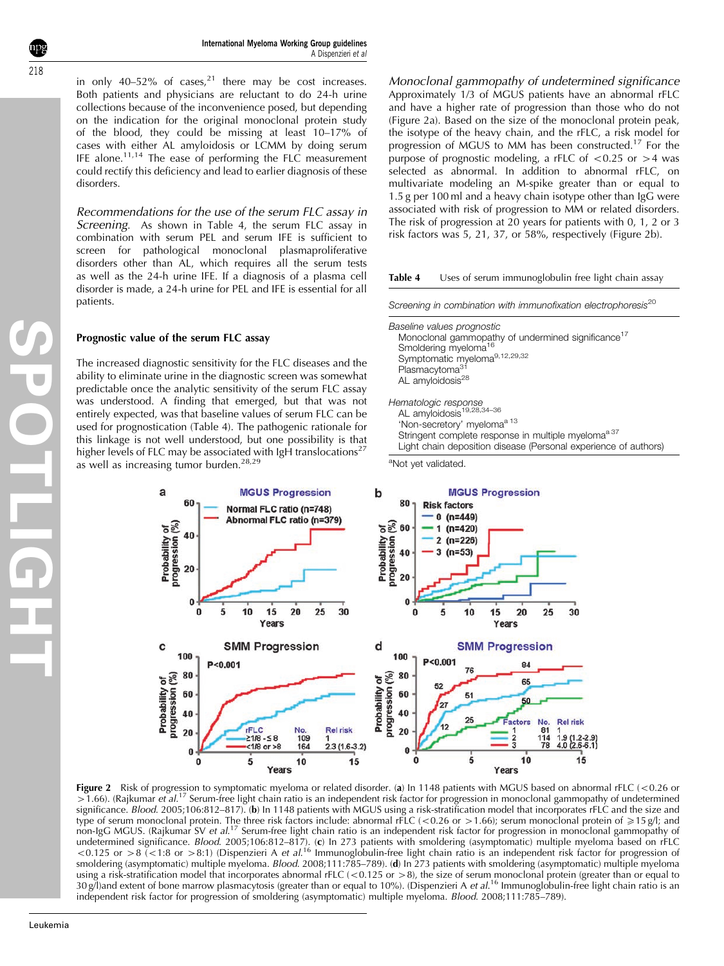**SPOTLIGHT**

in only 40–52% of cases, $21$  there may be cost increases. Both patients and physicians are reluctant to do 24-h urine collections because of the inconvenience posed, but depending on the indication for the original monoclonal protein study of the blood, they could be missing at least 10–17% of cases with either AL amyloidosis or LCMM by doing serum IFE alone.<sup>[11,14](#page-8-0)</sup> The ease of performing the FLC measurement could rectify this deficiency and lead to earlier diagnosis of these disorders.

Recommendations for the use of the serum FLC assay in Screening. As shown in Table 4, the serum FLC assay in combination with serum PEL and serum IFE is sufficient to screen for pathological monoclonal plasmaproliferative disorders other than AL, which requires all the serum tests as well as the 24-h urine IFE. If a diagnosis of a plasma cell disorder is made, a 24-h urine for PEL and IFE is essential for all patients.

### Prognostic value of the serum FLC assay

The increased diagnostic sensitivity for the FLC diseases and the ability to eliminate urine in the diagnostic screen was somewhat predictable once the analytic sensitivity of the serum FLC assay was understood. A finding that emerged, but that was not entirely expected, was that baseline values of serum FLC can be used for prognostication (Table 4). The pathogenic rationale for this linkage is not well understood, but one possibility is that higher levels of FLC may be associated with IgH translocations<sup>[27](#page-8-0)</sup> as well as increasing tumor burden.<sup>[28,29](#page-8-0)</sup>

Monoclonal gammopathy of undetermined significance Approximately 1/3 of MGUS patients have an abnormal rFLC and have a higher rate of progression than those who do not (Figure 2a). Based on the size of the monoclonal protein peak, the isotype of the heavy chain, and the rFLC, a risk model for progression of MGUS to MM has been constructed.[17](#page-8-0) For the purpose of prognostic modeling, a rFLC of  $\langle 0.25 \text{ or } 24 \text{ was}$ selected as abnormal. In addition to abnormal rFLC, on multivariate modeling an M-spike greater than or equal to 1.5 g per 100 ml and a heavy chain isotype other than IgG were associated with risk of progression to MM or related disorders. The risk of progression at 20 years for patients with 0, 1, 2 or 3 risk factors was 5, 21, 37, or 58%, respectively (Figure 2b).

#### Table 4 Uses of serum immunoglobulin free light chain assay

Screening in combination with immunofixation electrophoresis<sup>[20](#page-8-0)</sup>

Baseline values prognostic Monoclonal gammopathy of undermined significance<sup>17</sup> Smoldering myeloma<sup>16</sup> Symptomatic myeloma<sup>[9,12,29,32](#page-7-0)</sup> Plasmacytoma<sup>31</sup> AL amyloidosis<sup>[28](#page-8-0)</sup> Hematologic response<br>AL amyloidosis<sup>[19,28,34–36](#page-8-0)</sup> 'Non-secretory' myeloma<sup>a [13](#page-8-0)</sup>

Stringent complete response in multiple myeloma<sup>a [37](#page-8-0)</sup>

Light chain deposition disease (Personal experience of authors)

<sup>a</sup>Not yet validated.



**Figure 2** Risk of progression to symptomatic myeloma or related disorder. (**a**) In 1148 patients with MGUS based on abnormal rFLC (<0.26 or >1.66). (Rajkumar et al.<sup>[17](#page-8-0)</sup> Serum-free light chain ratio is an independent risk factor for progression in monoclonal gammopathy of undetermined significance. Blood. 2005;106:812–817). (b) In 1148 patients with MGUS using a risk-stratification model that incorporates rFLC and the size and type of serum monoclonal protein. The three risk factors include: abnormal rFLC (<0.26 or >1.66); serum monoclonal protein of  $\geqslant$ 15 g/l; and non-IgG MGUS. (Rajkumar SV et al.<sup>[17](#page-8-0)</sup> Serum-free light chain ratio is an independent risk factor for progression in monoclonal gammopathy of undetermined significance. *Blood*. 2005;106:812–817). (c) In 273 patients with smoldering (asymptomatic) multiple myeloma based on rFLC <0.125 or >8 (<1:8 or >8:1) (Dispenzieri A et al.<sup>[16](#page-8-0)</sup> Immunoglobulin-free light chain ratio is an independent risk factor for progression of smoldering (asymptomatic) multiple myeloma. Blood. 2008;111:785-789). (d) In 273 patients with smoldering (asymptomatic) multiple myeloma using a risk-stratification model that incorporates abnormal rFLC (< $0.125$  or >8), the size of serum monoclonal protein (greater than or equal to 30 g/l)and extent of bone marrow plasmacytosis (greater than or equal to 10%). (Dispenzieri A *et al*.<sup>[16](#page-8-0)</sup> Immunoglobulin-free light chain ratio is an independent risk factor for progression of smoldering (asymptomatic) multiple myeloma. Blood. 2008;111:785–789).

<span id="page-3-0"></span>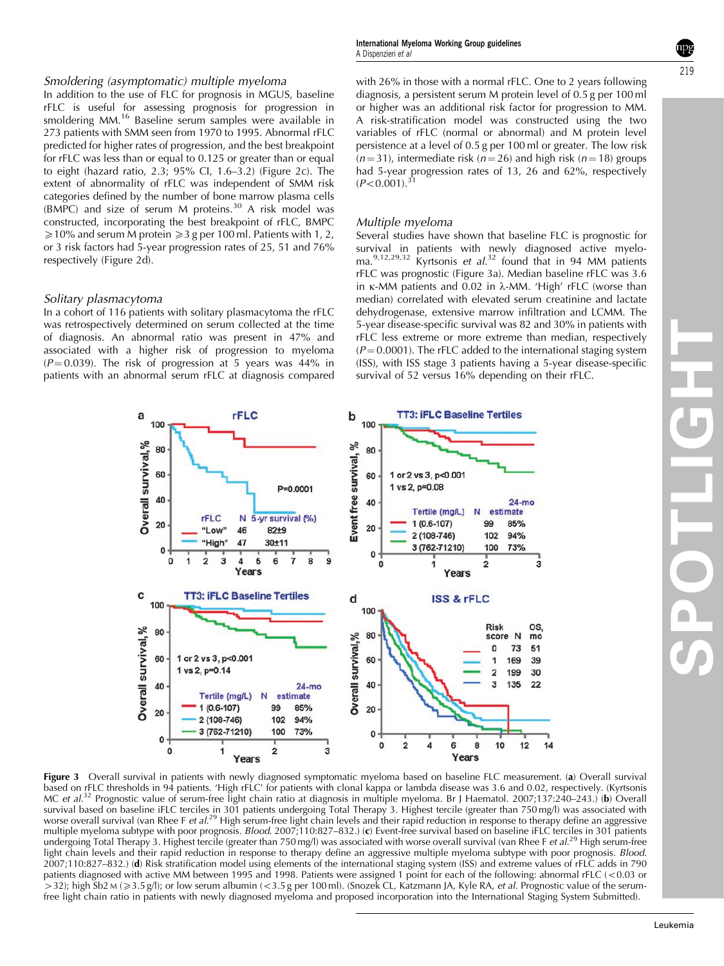## <span id="page-4-0"></span>Smoldering (asymptomatic) multiple myeloma

In addition to the use of FLC for prognosis in MGUS, baseline rFLC is useful for assessing prognosis for progression in smoldering MM.<sup>[16](#page-8-0)</sup> Baseline serum samples were available in 273 patients with SMM seen from 1970 to 1995. Abnormal rFLC predicted for higher rates of progression, and the best breakpoint for rFLC was less than or equal to 0.125 or greater than or equal to eight (hazard ratio, 2.3; 95% CI, 1.6–3.2) ([Figure 2c](#page-3-0)). The extent of abnormality of rFLC was independent of SMM risk categories defined by the number of bone marrow plasma cells (BMPC) and size of serum M proteins.<sup>[30](#page-8-0)</sup> A risk model was constructed, incorporating the best breakpoint of rFLC, BMPC  $\geq 10\%$  and serum M protein  $\geq 3$  g per 100 ml. Patients with 1, 2, or 3 risk factors had 5-year progression rates of 25, 51 and 76% respectively ([Figure 2d\)](#page-3-0).

### Solitary plasmacytoma

a

Overall survival,%

C

Overall survival,%

20

0

 $\mathbf 0$ 

2 (108-746)

3 (762-71210)

In a cohort of 116 patients with solitary plasmacytoma the rFLC was retrospectively determined on serum collected at the time of diagnosis. An abnormal ratio was present in 47% and associated with a higher risk of progression to myeloma  $(P = 0.039)$ . The risk of progression at 5 years was 44% in patients with an abnormal serum rFLC at diagnosis compared with 26% in those with a normal rFLC. One to 2 years following diagnosis, a persistent serum M protein level of 0.5 g per 100 ml or higher was an additional risk factor for progression to MM. A risk-stratification model was constructed using the two variables of rFLC (normal or abnormal) and M protein level persistence at a level of 0.5 g per 100 ml or greater. The low risk  $(n = 31)$ , intermediate risk  $(n = 26)$  and high risk  $(n = 18)$  groups had 5-year progression rates of 13, 26 and 62%, respectively  $(P< 0.001)^{31}$ 

### Multiple myeloma

A Dispenzieri et al

International Myeloma Working Group guidelines

Several studies have shown that baseline FLC is prognostic for survival in patients with newly diagnosed active myelo-ma.<sup>[9,12,29,32](#page-7-0)</sup> Kyrtsonis et al.<sup>[32](#page-8-0)</sup> found that in 94 MM patients rFLC was prognostic (Figure 3a). Median baseline rFLC was 3.6 in  $\kappa$ -MM patients and 0.02 in  $\lambda$ -MM. 'High' rFLC (worse than median) correlated with elevated serum creatinine and lactate dehydrogenase, extensive marrow infiltration and LCMM. The 5-year disease-specific survival was 82 and 30% in patients with rFLC less extreme or more extreme than median, respectively  $(P = 0.0001)$ . The rFLC added to the international staging system (ISS), with ISS stage 3 patients having a 5-year disease-specific survival of 52 versus 16% depending on their rFLC.

> $10$ 8

6

 $12$ 

 $14$ 



 $\mathbf 0$ 

 $\mathbf{C}$ 

 $\overline{2}$ 

94% 102

73%

 $\overline{3}$ 

100

 $\overline{2}$ 



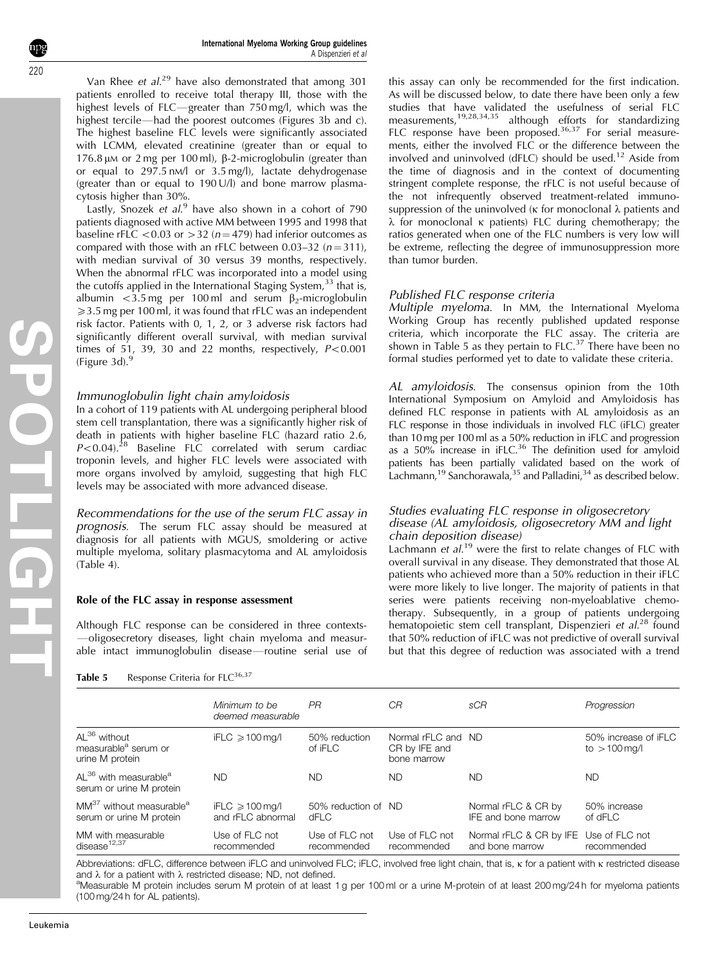Van Rhee et  $al.^{29}$  $al.^{29}$  $al.^{29}$  have also demonstrated that among 301 patients enrolled to receive total therapy III, those with the highest levels of FLC-greater than 750 mg/l, which was the highest tercile—had the poorest outcomes ([Figures 3b and c\)](#page-4-0). The highest baseline FLC levels were significantly associated with LCMM, elevated creatinine (greater than or equal to  $176.8 \mu$ M or 2 mg per 100 ml),  $\beta$ -2-microglobulin (greater than or equal to 297.5 nM/l or 3.5 mg/l), lactate dehydrogenase (greater than or equal to 190 U/l) and bone marrow plasmacytosis higher than 30%.

Lastly, Snozek et  $al$ .<sup>[9](#page-7-0)</sup> have also shown in a cohort of 790 patients diagnosed with active MM between 1995 and 1998 that baseline rFLC < 0.03 or  $>$  32 (n = 479) had inferior outcomes as compared with those with an rFLC between  $0.03-32$  ( $n = 311$ ), with median survival of 30 versus 39 months, respectively. When the abnormal rFLC was incorporated into a model using the cutoffs applied in the International Staging System, $33$  that is, albumin <3.5 mg per 100 ml and serum  $\beta_2$ -microglobulin  $\geq 3.5$  mg per 100 ml, it was found that rFLC was an independent risk factor. Patients with 0, 1, 2, or 3 adverse risk factors had significantly different overall survival, with median survival times of 51, 39, 30 and 22 months, respectively,  $P < 0.001$ (Figure  $3d$ ).<sup>[9](#page-7-0)</sup>

# Immunoglobulin light chain amyloidosis

In a cohort of 119 patients with AL undergoing peripheral blood stem cell transplantation, there was a significantly higher risk of death in patients with higher baseline FLC (hazard ratio 2.6,  $P < 0.04$ ).<sup>[28](#page-8-0)</sup> Baseline FLC correlated with serum cardiac troponin levels, and higher FLC levels were associated with more organs involved by amyloid, suggesting that high FLC levels may be associated with more advanced disease.

Recommendations for the use of the serum FLC assay in prognosis. The serum FLC assay should be measured at diagnosis for all patients with MGUS, smoldering or active multiple myeloma, solitary plasmacytoma and AL amyloidosis [\(Table 4\)](#page-3-0).

## Role of the FLC assay in response assessment

Although FLC response can be considered in three contexts--oligosecretory diseases, light chain myeloma and measurable intact immunoglobulin disease—routine serial use of

Table 5 Response Criteria for  $FLC^{36,37}$  $FLC^{36,37}$  $FLC^{36,37}$ 

this assay can only be recommended for the first indication. As will be discussed below, to date there have been only a few studies that have validated the usefulness of serial FLC measurements,[19,28,34,35](#page-8-0) although efforts for standardizing FLC response have been proposed.<sup>[36,37](#page-8-0)</sup> For serial measurements, either the involved FLC or the difference between the involved and uninvolved (dFLC) should be used.[12](#page-8-0) Aside from the time of diagnosis and in the context of documenting stringent complete response, the rFLC is not useful because of the not infrequently observed treatment-related immunosuppression of the uninvolved ( $\kappa$  for monoclonal  $\lambda$  patients and  $\lambda$  for monoclonal  $\kappa$  patients) FLC during chemotherapy; the ratios generated when one of the FLC numbers is very low will be extreme, reflecting the degree of immunosuppression more than tumor burden.

## Published FLC response criteria

Multiple myeloma. In MM, the International Myeloma Working Group has recently published updated response criteria, which incorporate the FLC assay. The criteria are shown in Table 5 as they pertain to  $F_{\text{LC}}^{37}$  There have been no formal studies performed yet to date to validate these criteria.

AL amyloidosis. The consensus opinion from the 10th International Symposium on Amyloid and Amyloidosis has defined FLC response in patients with AL amyloidosis as an FLC response in those individuals in involved FLC (iFLC) greater than 10 mg per 100 ml as a 50% reduction in iFLC and progression as a 50% increase in iFLC.<sup>36</sup> The definition used for amyloid patients has been partially validated based on the work of Lachmann,<sup>[19](#page-8-0)</sup> Sanchorawala,<sup>35</sup> and Palladini,<sup>34</sup> as described below.

### Studies evaluating FLC response in oligosecretory disease (AL amyloidosis, oligosecretory MM and light chain deposition disease)

Lachmann et al.<sup>[19](#page-8-0)</sup> were the first to relate changes of FLC with overall survival in any disease. They demonstrated that those AL patients who achieved more than a 50% reduction in their iFLC were more likely to live longer. The majority of patients in that series were patients receiving non-myeloablative chemotherapy. Subsequently, in a group of patients undergoing hematopoietic stem cell transplant, Dispenzieri et al.<sup>[28](#page-8-0)</sup> found that 50% reduction of iFLC was not predictive of overall survival but that this degree of reduction was associated with a trend

|                                                                                 | Minimum to be<br>deemed measurable             | <b>PR</b>                     | СR                                                 | sCR                                                       | Progression                             |
|---------------------------------------------------------------------------------|------------------------------------------------|-------------------------------|----------------------------------------------------|-----------------------------------------------------------|-----------------------------------------|
| AL <sup>36</sup> without<br>measurable <sup>a</sup> serum or<br>urine M protein | iFLC $\geqslant$ 100 mg/l                      | 50% reduction<br>of iFLC      | Normal rFLC and ND<br>CR by IFE and<br>bone marrow |                                                           | 50% increase of iFLC<br>$to > 100$ mg/l |
| AL <sup>36</sup> with measurable <sup>a</sup><br>serum or urine M protein       | <b>ND</b>                                      | <b>ND</b>                     | ND.                                                | ND.                                                       | <b>ND</b>                               |
| MM <sup>37</sup> without measurable <sup>a</sup><br>serum or urine M protein    | iFLC $\geqslant$ 100 mg/l<br>and rFLC abnormal | 50% reduction of ND<br>dFLC   |                                                    | Normal rFLC & CR by<br>IFE and bone marrow                | 50% increase<br>$of$ dFLC               |
| MM with measurable<br>disease <sup>12,37</sup>                                  | Use of FLC not<br>recommended                  | Use of FLC not<br>recommended | Use of FLC not<br>recommended                      | Normal rFLC & CR by IFE Use of FLC not<br>and bone marrow | recommended                             |

Abbreviations: dFLC, difference between iFLC and uninvolved FLC; iFLC, involved free light chain, that is,  $\kappa$  for a patient with  $\kappa$  restricted disease and  $\lambda$  for a patient with  $\lambda$  restricted disease; ND, not defined.

<sup>a</sup>Measurable M protein includes serum M protein of at least 1 g per 100 ml or a urine M-protein of at least 200 mg/24 h for myeloma patients (100 mg/24 h for AL patients).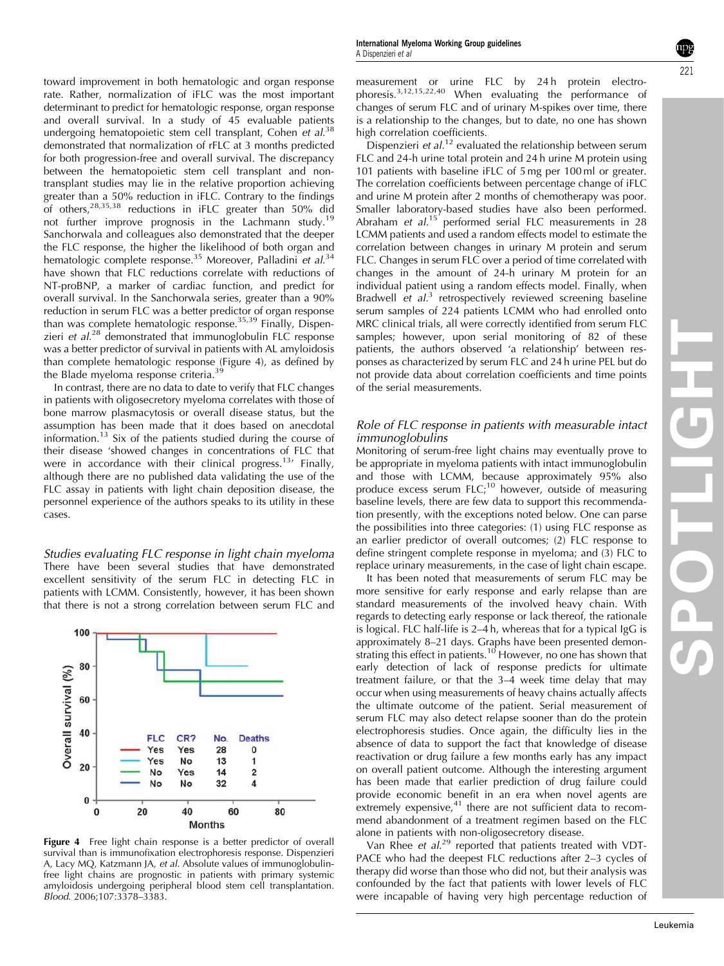toward improvement in both hematologic and organ response rate. Rather, normalization of iFLC was the most important determinant to predict for hematologic response, organ response and overall survival. In a study of 45 evaluable patients undergoing hematopoietic stem cell transplant, Cohen et al.<sup>[38](#page-8-0)</sup> demonstrated that normalization of rFLC at 3 months predicted for both progression-free and overall survival. The discrepancy between the hematopoietic stem cell transplant and nontransplant studies may lie in the relative proportion achieving greater than a 50% reduction in iFLC. Contrary to the findings of others.<sup>[28,35,38](#page-8-0)</sup> reductions in iFLC greater than 50% did not further improve prognosis in the Lachmann study.<sup>[19](#page-8-0)</sup> Sanchorwala and colleagues also demonstrated that the deeper the FLC response, the higher the likelihood of both organ and hematologic complete response.<sup>[35](#page-8-0)</sup> Moreover, Palladini et al.<sup>[34](#page-8-0)</sup> have shown that FLC reductions correlate with reductions of NT-proBNP, a marker of cardiac function, and predict for overall survival. In the Sanchorwala series, greater than a 90% reduction in serum FLC was a better predictor of organ response than was complete hematologic response.[35,39](#page-8-0) Finally, Dispenzieri et  $al^{28}$  $al^{28}$  $al^{28}$  demonstrated that immunoglobulin FLC response was a better predictor of survival in patients with AL amyloidosis than complete hematologic response (Figure 4), as defined by the Blade myeloma response criteria.<sup>3</sup>

In contrast, there are no data to date to verify that FLC changes in patients with oligosecretory myeloma correlates with those of bone marrow plasmacytosis or overall disease status, but the assumption has been made that it does based on anecdotal information.<sup>[13](#page-8-0)</sup> Six of the patients studied during the course of their disease 'showed changes in concentrations of FLC that were in accordance with their clinical progress.<sup>[13](#page-8-0)</sup> Finally, although there are no published data validating the use of the FLC assay in patients with light chain deposition disease, the personnel experience of the authors speaks to its utility in these cases.

Studies evaluating FLC response in light chain myeloma There have been several studies that have demonstrated excellent sensitivity of the serum FLC in detecting FLC in patients with LCMM. Consistently, however, it has been shown that there is not a strong correlation between serum FLC and



Figure 4 Free light chain response is a better predictor of overall survival than is immunofixation electrophoresis response. Dispenzieri A, Lacy MQ, Katzmann JA, et al. Absolute values of immunoglobulinfree light chains are prognostic in patients with primary systemic amyloidosis undergoing peripheral blood stem cell transplantation. Blood. 2006;107:3378–3383.

measurement or urine FLC by 24h protein electrophoresis. $3,12,15,22,40$  When evaluating the performance of changes of serum FLC and of urinary M-spikes over time, there is a relationship to the changes, but to date, no one has shown high correlation coefficients.

Dispenzieri *et al*.<sup>[12](#page-8-0)</sup> evaluated the relationship between serum FLC and 24-h urine total protein and 24 h urine M protein using 101 patients with baseline iFLC of 5 mg per 100 ml or greater. The correlation coefficients between percentage change of iFLC and urine M protein after 2 months of chemotherapy was poor. Smaller laboratory-based studies have also been performed. Abraham et al.<sup>[15](#page-8-0)'</sup> performed serial FLC measurements in 28 LCMM patients and used a random effects model to estimate the correlation between changes in urinary M protein and serum FLC. Changes in serum FLC over a period of time correlated with changes in the amount of 24-h urinary M protein for an individual patient using a random effects model. Finally, when Bradwell et al.<sup>[3](#page-7-0)</sup> retrospectively reviewed screening baseline serum samples of 224 patients LCMM who had enrolled onto MRC clinical trials, all were correctly identified from serum FLC samples; however, upon serial monitoring of 82 of these patients, the authors observed 'a relationship' between responses as characterized by serum FLC and 24 h urine PEL but do not provide data about correlation coefficients and time points of the serial measurements.

# Role of FLC response in patients with measurable intact immunoglobulins

Monitoring of serum-free light chains may eventually prove to be appropriate in myeloma patients with intact immunoglobulin and those with LCMM, because approximately 95% also produce excess serum  $FLC$ ;<sup>10</sup> however, outside of measuring baseline levels, there are few data to support this recommendation presently, with the exceptions noted below. One can parse the possibilities into three categories: (1) using FLC response as an earlier predictor of overall outcomes; (2) FLC response to define stringent complete response in myeloma; and (3) FLC to replace urinary measurements, in the case of light chain escape.

It has been noted that measurements of serum FLC may be more sensitive for early response and early relapse than are standard measurements of the involved heavy chain. With regards to detecting early response or lack thereof, the rationale is logical. FLC half-life is 2–4 h, whereas that for a typical IgG is approximately 8–21 days. Graphs have been presented demon-strating this effect in patients.<sup>[10](#page-8-0)</sup> However, no one has shown that early detection of lack of response predicts for ultimate treatment failure, or that the 3–4 week time delay that may occur when using measurements of heavy chains actually affects the ultimate outcome of the patient. Serial measurement of serum FLC may also detect relapse sooner than do the protein electrophoresis studies. Once again, the difficulty lies in the absence of data to support the fact that knowledge of disease reactivation or drug failure a few months early has any impact on overall patient outcome. Although the interesting argument has been made that earlier prediction of drug failure could provide economic benefit in an era when novel agents are extremely expensive, $41$  there are not sufficient data to recommend abandonment of a treatment regimen based on the FLC alone in patients with non-oligosecretory disease.

Van Rhee et al.<sup>[29](#page-8-0)</sup> reported that patients treated with VDT-PACE who had the deepest FLC reductions after 2–3 cycles of therapy did worse than those who did not, but their analysis was confounded by the fact that patients with lower levels of FLC were incapable of having very high percentage reduction of

221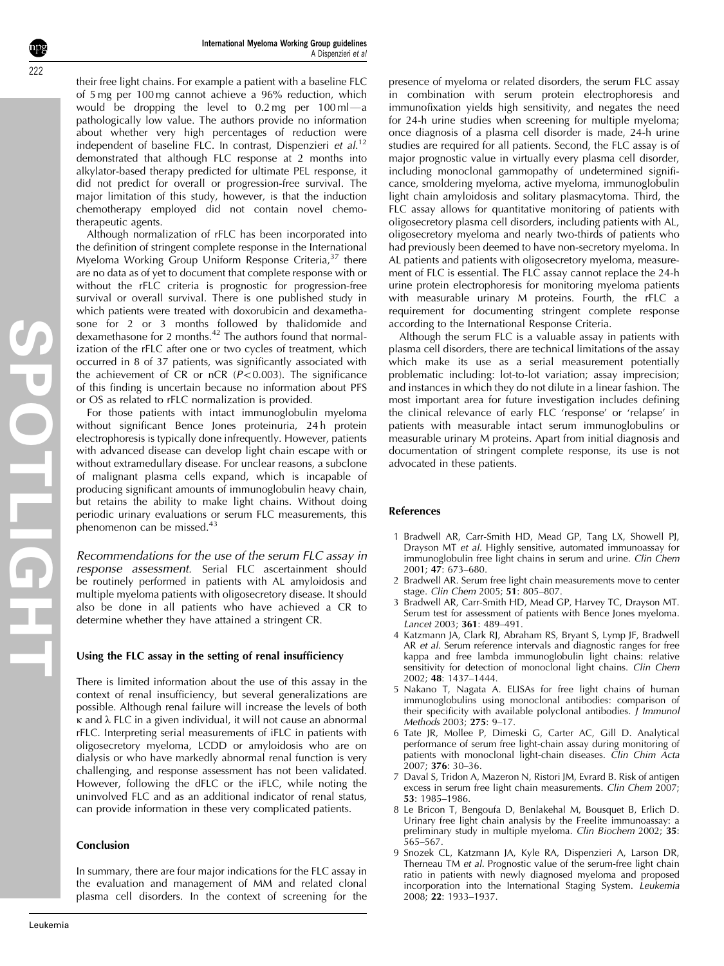**SPOTLIGHT COLLEGE** 

<span id="page-7-0"></span>their free light chains. For example a patient with a baseline FLC of 5 mg per 100 mg cannot achieve a 96% reduction, which would be dropping the level to  $0.2$  mg per  $100$  ml $-$ a pathologically low value. The authors provide no information about whether very high percentages of reduction were independent of baseline FLC. In contrast, Dispenzieri et al.<sup>[12](#page-8-0)</sup> demonstrated that although FLC response at 2 months into alkylator-based therapy predicted for ultimate PEL response, it did not predict for overall or progression-free survival. The major limitation of this study, however, is that the induction chemotherapy employed did not contain novel chemotherapeutic agents.

Although normalization of rFLC has been incorporated into the definition of stringent complete response in the International Myeloma Working Group Uniform Response Criteria,<sup>[37](#page-8-0)</sup> there are no data as of yet to document that complete response with or without the rFLC criteria is prognostic for progression-free survival or overall survival. There is one published study in which patients were treated with doxorubicin and dexamethasone for 2 or 3 months followed by thalidomide and dexamethasone for 2 months.<sup>[42](#page-8-0)</sup> The authors found that normalization of the rFLC after one or two cycles of treatment, which occurred in 8 of 37 patients, was significantly associated with the achievement of CR or nCR  $(P<0.003)$ . The significance of this finding is uncertain because no information about PFS or OS as related to rFLC normalization is provided.

For those patients with intact immunoglobulin myeloma without significant Bence Jones proteinuria, 24h protein electrophoresis is typically done infrequently. However, patients with advanced disease can develop light chain escape with or without extramedullary disease. For unclear reasons, a subclone of malignant plasma cells expand, which is incapable of producing significant amounts of immunoglobulin heavy chain, but retains the ability to make light chains. Without doing periodic urinary evaluations or serum FLC measurements, this phenomenon can be missed.<sup>[43](#page-8-0)</sup>

Recommendations for the use of the serum FLC assay in response assessment. Serial FLC ascertainment should be routinely performed in patients with AL amyloidosis and multiple myeloma patients with oligosecretory disease. It should also be done in all patients who have achieved a CR to determine whether they have attained a stringent CR.

### Using the FLC assay in the setting of renal insufficiency

There is limited information about the use of this assay in the context of renal insufficiency, but several generalizations are possible. Although renal failure will increase the levels of both  $\kappa$  and  $\lambda$  FLC in a given individual, it will not cause an abnormal rFLC. Interpreting serial measurements of iFLC in patients with oligosecretory myeloma, LCDD or amyloidosis who are on dialysis or who have markedly abnormal renal function is very challenging, and response assessment has not been validated. However, following the dFLC or the iFLC, while noting the uninvolved FLC and as an additional indicator of renal status, can provide information in these very complicated patients.

### Conclusion

In summary, there are four major indications for the FLC assay in the evaluation and management of MM and related clonal plasma cell disorders. In the context of screening for the presence of myeloma or related disorders, the serum FLC assay in combination with serum protein electrophoresis and immunofixation yields high sensitivity, and negates the need for 24-h urine studies when screening for multiple myeloma; once diagnosis of a plasma cell disorder is made, 24-h urine studies are required for all patients. Second, the FLC assay is of major prognostic value in virtually every plasma cell disorder, including monoclonal gammopathy of undetermined significance, smoldering myeloma, active myeloma, immunoglobulin light chain amyloidosis and solitary plasmacytoma. Third, the FLC assay allows for quantitative monitoring of patients with oligosecretory plasma cell disorders, including patients with AL, oligosecretory myeloma and nearly two-thirds of patients who had previously been deemed to have non-secretory myeloma. In AL patients and patients with oligosecretory myeloma, measurement of FLC is essential. The FLC assay cannot replace the 24-h urine protein electrophoresis for monitoring myeloma patients with measurable urinary M proteins. Fourth, the rFLC a requirement for documenting stringent complete response according to the International Response Criteria.

Although the serum FLC is a valuable assay in patients with plasma cell disorders, there are technical limitations of the assay which make its use as a serial measurement potentially problematic including: lot-to-lot variation; assay imprecision; and instances in which they do not dilute in a linear fashion. The most important area for future investigation includes defining the clinical relevance of early FLC 'response' or 'relapse' in patients with measurable intact serum immunoglobulins or measurable urinary M proteins. Apart from initial diagnosis and documentation of stringent complete response, its use is not advocated in these patients.

### References

- 1 Bradwell AR, Carr-Smith HD, Mead GP, Tang LX, Showell PJ, Drayson MT et al. Highly sensitive, automated immunoassay for immunoglobulin free light chains in serum and urine. Clin Chem 2001; 47: 673–680.
- 2 Bradwell AR. Serum free light chain measurements move to center stage. Clin Chem 2005; 51: 805–807.
- 3 Bradwell AR, Carr-Smith HD, Mead GP, Harvey TC, Drayson MT. Serum test for assessment of patients with Bence Jones myeloma. Lancet 2003; 361: 489–491.
- 4 Katzmann JA, Clark RJ, Abraham RS, Bryant S, Lymp JF, Bradwell AR et al. Serum reference intervals and diagnostic ranges for free kappa and free lambda immunoglobulin light chains: relative sensitivity for detection of monoclonal light chains. Clin Chem 2002; 48: 1437–1444.
- 5 Nakano T, Nagata A. ELISAs for free light chains of human immunoglobulins using monoclonal antibodies: comparison of their specificity with available polyclonal antibodies.  $\dot{J}$  Immunol Methods 2003; 275: 9–17.
- 6 Tate JR, Mollee P, Dimeski G, Carter AC, Gill D. Analytical performance of serum free light-chain assay during monitoring of patients with monoclonal light-chain diseases. Clin Chim Acta 2007; 376: 30–36.
- 7 Daval S, Tridon A, Mazeron N, Ristori JM, Evrard B. Risk of antigen excess in serum free light chain measurements. Clin Chem 2007; 53: 1985–1986.
- 8 Le Bricon T, Bengoufa D, Benlakehal M, Bousquet B, Erlich D. Urinary free light chain analysis by the Freelite immunoassay: a preliminary study in multiple myeloma. Clin Biochem 2002; 35: 565–567.
- 9 Snozek CL, Katzmann JA, Kyle RA, Dispenzieri A, Larson DR, Therneau TM et al. Prognostic value of the serum-free light chain ratio in patients with newly diagnosed myeloma and proposed incorporation into the International Staging System. Leukemia 2008; 22: 1933–1937.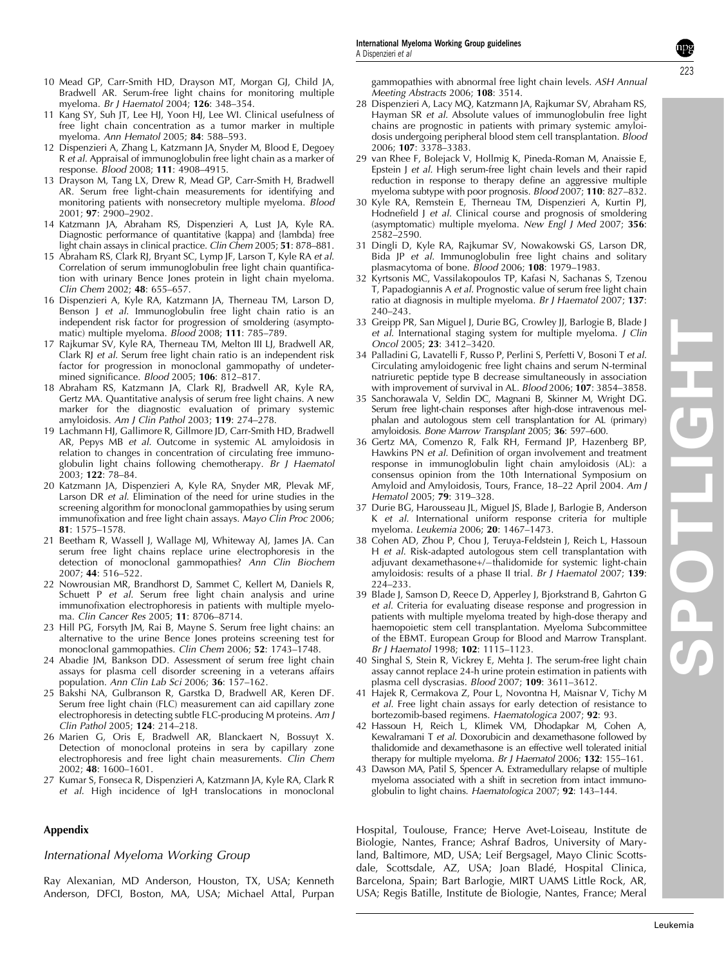- <span id="page-8-0"></span>10 Mead GP, Carr-Smith HD, Drayson MT, Morgan GJ, Child JA, Bradwell AR. Serum-free light chains for monitoring multiple myeloma. Br J Haematol 2004; 126: 348–354.
- 11 Kang SY, Suh JT, Lee HJ, Yoon HJ, Lee WI. Clinical usefulness of free light chain concentration as a tumor marker in multiple myeloma. Ann Hematol 2005; 84: 588–593.
- 12 Dispenzieri A, Zhang L, Katzmann JA, Snyder M, Blood E, Degoey R et al. Appraisal of immunoglobulin free light chain as a marker of response. Blood 2008; 111: 4908–4915.
- 13 Drayson M, Tang LX, Drew R, Mead GP, Carr-Smith H, Bradwell AR. Serum free light-chain measurements for identifying and monitoring patients with nonsecretory multiple myeloma. Blood 2001; 97: 2900–2902.
- 14 Katzmann JA, Abraham RS, Dispenzieri A, Lust JA, Kyle RA. Diagnostic performance of quantitative {kappa} and {lambda} free light chain assays in clinical practice. Clin Chem 2005; 51: 878-881.
- 15 Abraham RS, Clark RJ, Bryant SC, Lymp JF, Larson T, Kyle RA et al. Correlation of serum immunoglobulin free light chain quantification with urinary Bence Jones protein in light chain myeloma. Clin Chem 2002; 48: 655–657.
- 16 Dispenzieri A, Kyle RA, Katzmann JA, Therneau TM, Larson D, Benson J et al. Immunoglobulin free light chain ratio is an independent risk factor for progression of smoldering (asymptomatic) multiple myeloma. Blood 2008; 111: 785-789.
- 17 Rajkumar SV, Kyle RA, Therneau TM, Melton III LJ, Bradwell AR, Clark RJ et al. Serum free light chain ratio is an independent risk factor for progression in monoclonal gammopathy of undetermined significance. Blood 2005; 106: 812-817.
- 18 Abraham RS, Katzmann JA, Clark RJ, Bradwell AR, Kyle RA, Gertz MA. Quantitative analysis of serum free light chains. A new marker for the diagnostic evaluation of primary systemic amyloidosis. Am J Clin Pathol 2003; 119: 274–278.
- 19 Lachmann HJ, Gallimore R, Gillmore JD, Carr-Smith HD, Bradwell AR, Pepys MB et al. Outcome in systemic AL amyloidosis in relation to changes in concentration of circulating free immunoglobulin light chains following chemotherapy.  $\overline{B}$ r J Haematol 2003; 122: 78–84.
- 20 Katzmann JA, Dispenzieri A, Kyle RA, Snyder MR, Plevak MF, Larson DR et al. Elimination of the need for urine studies in the screening algorithm for monoclonal gammopathies by using serum immunofixation and free light chain assays. Mayo Clin Proc 2006; 81: 1575–1578.
- 21 Beetham R, Wassell J, Wallage MJ, Whiteway AJ, James JA. Can serum free light chains replace urine electrophoresis in the detection of monoclonal gammopathies? Ann Clin Biochem 2007; 44: 516–522.
- 22 Nowrousian MR, Brandhorst D, Sammet C, Kellert M, Daniels R, Schuett P et al. Serum free light chain analysis and urine immunofixation electrophoresis in patients with multiple myeloma. Clin Cancer Res 2005; 11: 8706–8714.
- 23 Hill PG, Forsyth JM, Rai B, Mayne S. Serum free light chains: an alternative to the urine Bence Jones proteins screening test for monoclonal gammopathies. Clin Chem 2006; 52: 1743–1748.
- 24 Abadie JM, Bankson DD. Assessment of serum free light chain assays for plasma cell disorder screening in a veterans affairs population. Ann Clin Lab Sci 2006; 36: 157–162.
- 25 Bakshi NA, Gulbranson R, Garstka D, Bradwell AR, Keren DF. Serum free light chain (FLC) measurement can aid capillary zone electrophoresis in detecting subtle FLC-producing M proteins. Am J Clin Pathol 2005; 124: 214–218.
- 26 Marien G, Oris E, Bradwell AR, Blanckaert N, Bossuyt X. Detection of monoclonal proteins in sera by capillary zone electrophoresis and free light chain measurements. Clin Chem 2002; 48: 1600–1601.
- 27 Kumar S, Fonseca R, Dispenzieri A, Katzmann JA, Kyle RA, Clark R et al. High incidence of IgH translocations in monoclonal

### Appendix

### International Myeloma Working Group

Ray Alexanian, MD Anderson, Houston, TX, USA; Kenneth Anderson, DFCI, Boston, MA, USA; Michael Attal, Purpan gammopathies with abnormal free light chain levels. ASH Annual Meeting Abstracts 2006; 108: 3514.

- 28 Dispenzieri A, Lacy MQ, Katzmann JA, Rajkumar SV, Abraham RS, Hayman SR et al. Absolute values of immunoglobulin free light chains are prognostic in patients with primary systemic amyloidosis undergoing peripheral blood stem cell transplantation. Blood 2006; 107: 3378–3383.
- 29 van Rhee F, Bolejack V, Hollmig K, Pineda-Roman M, Anaissie E, Epstein J et al. High serum-free light chain levels and their rapid reduction in response to therapy define an aggressive multiple myeloma subtype with poor prognosis. Blood 2007; 110: 827–832.
- 30 Kyle RA, Remstein E, Therneau TM, Dispenzieri A, Kurtin PJ, Hodnefield J et al. Clinical course and prognosis of smoldering (asymptomatic) multiple myeloma. New Engl J Med 2007; 356: 2582–2590.
- 31 Dingli D, Kyle RA, Rajkumar SV, Nowakowski GS, Larson DR, Bida JP et al. Immunoglobulin free light chains and solitary plasmacytoma of bone.  $B$ lood 2006; 108: 1979–1983.
- 32 Kyrtsonis MC, Vassilakopoulos TP, Kafasi N, Sachanas S, Tzenou T, Papadogiannis A et al. Prognostic value of serum free light chain ratio at diagnosis in multiple myeloma. Br J Haematol 2007; 137: 240–243.
- 33 Greipp PR, San Miguel J, Durie BG, Crowley JJ, Barlogie B, Blade J et al. International staging system for multiple myeloma. J Clin Oncol 2005; 23: 3412–3420.
- 34 Palladini G, Lavatelli F, Russo P, Perlini S, Perfetti V, Bosoni T et al. Circulating amyloidogenic free light chains and serum N-terminal natriuretic peptide type B decrease simultaneously in association with improvement of survival in AL. Blood 2006; 107: 3854–3858.
- 35 Sanchorawala V, Seldin DC, Magnani B, Skinner M, Wright DG. Serum free light-chain responses after high-dose intravenous melphalan and autologous stem cell transplantation for AL (primary) amyloidosis. Bone Marrow Transplant 2005; 36: 597–600.
- 36 Gertz MA, Comenzo R, Falk RH, Fermand JP, Hazenberg BP, Hawkins PN et al. Definition of organ involvement and treatment response in immunoglobulin light chain amyloidosis (AL): a consensus opinion from the 10th International Symposium on Amyloid and Amyloidosis, Tours, France, 18-22 April 2004. Am J Hematol 2005; 79: 319–328.
- 37 Durie BG, Harousseau JL, Miguel JS, Blade J, Barlogie B, Anderson K et al. International uniform response criteria for multiple myeloma. Leukemia 2006; 20: 1467–1473.
- 38 Cohen AD, Zhou P, Chou J, Teruya-Feldstein J, Reich L, Hassoun H et al. Risk-adapted autologous stem cell transplantation with adjuvant dexamethasone+/-thalidomide for systemic light-chain amyloidosis: results of a phase II trial. Br J Haematol 2007; 139: 224–233.
- 39 Blade J, Samson D, Reece D, Apperley J, Bjorkstrand B, Gahrton G et al. Criteria for evaluating disease response and progression in patients with multiple myeloma treated by high-dose therapy and haemopoietic stem cell transplantation. Myeloma Subcommittee of the EBMT. European Group for Blood and Marrow Transplant. Br J Haematol 1998; 102: 1115–1123.
- 40 Singhal S, Stein R, Vickrey E, Mehta J. The serum-free light chain assay cannot replace 24-h urine protein estimation in patients with plasma cell dyscrasias. Blood 2007; 109: 3611–3612.
- 41 Hajek R, Cermakova Z, Pour L, Novontna H, Maisnar V, Tichy M et al. Free light chain assays for early detection of resistance to bortezomib-based regimens. Haematologica 2007; 92: 93.
- 42 Hassoun H, Reich L, Klimek VM, Dhodapkar M, Cohen A, Kewalramani T et al. Doxorubicin and dexamethasone followed by thalidomide and dexamethasone is an effective well tolerated initial therapy for multiple myeloma. Br J Haematol 2006; 132: 155-161.
- 43 Dawson MA, Patil S, Spencer A. Extramedullary relapse of multiple myeloma associated with a shift in secretion from intact immunoglobulin to light chains. Haematologica 2007; 92: 143–144.

Hospital, Toulouse, France; Herve Avet-Loiseau, Institute de Biologie, Nantes, France; Ashraf Badros, University of Maryland, Baltimore, MD, USA; Leif Bergsagel, Mayo Clinic Scottsdale, Scottsdale, AZ, USA; Joan Bladé, Hospital Clinica, Barcelona, Spain; Bart Barlogie, MIRT UAMS Little Rock, AR, USA; Regis Batille, Institute de Biologie, Nantes, France; Meral